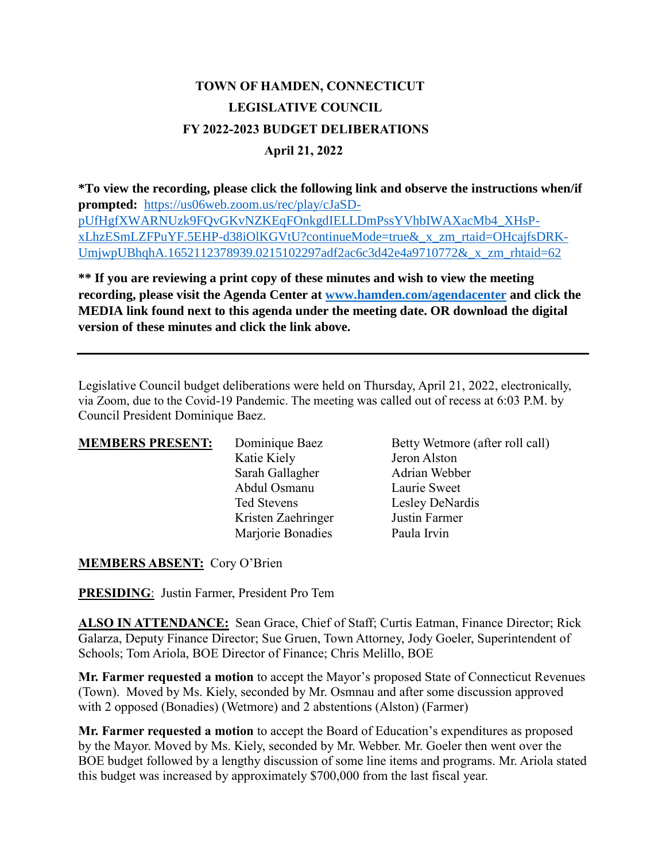## **TOWN OF HAMDEN, CONNECTICUT LEGISLATIVE COUNCIL FY 2022-2023 BUDGET DELIBERATIONS April 21, 2022**

**\*To view the recording, please click the following link and observe the instructions when/if prompted:** [https://us06web.zoom.us/rec/play/cJaSD](https://us06web.zoom.us/rec/play/cJaSD-pUfHgfXWARNUzk9FQvGKvNZKEqFOnkgdIELLDmPssYVhbIWAXacMb4_XHsP-xLhzESmLZFPuYF.5EHP-d38iOlKGVtU?continueMode=true&_x_zm_rtaid=OHcajfsDRK-UmjwpUBhqhA.1652112378939.0215102297adf2ac6c3d42e4a9710772&_x_zm_rhtaid=62)[pUfHgfXWARNUzk9FQvGKvNZKEqFOnkgdIELLDmPssYVhbIWAXacMb4\\_XHsP](https://us06web.zoom.us/rec/play/cJaSD-pUfHgfXWARNUzk9FQvGKvNZKEqFOnkgdIELLDmPssYVhbIWAXacMb4_XHsP-xLhzESmLZFPuYF.5EHP-d38iOlKGVtU?continueMode=true&_x_zm_rtaid=OHcajfsDRK-UmjwpUBhqhA.1652112378939.0215102297adf2ac6c3d42e4a9710772&_x_zm_rhtaid=62)[xLhzESmLZFPuYF.5EHP-d38iOlKGVtU?continueMode=true&\\_x\\_zm\\_rtaid=OHcajfsDRK-](https://us06web.zoom.us/rec/play/cJaSD-pUfHgfXWARNUzk9FQvGKvNZKEqFOnkgdIELLDmPssYVhbIWAXacMb4_XHsP-xLhzESmLZFPuYF.5EHP-d38iOlKGVtU?continueMode=true&_x_zm_rtaid=OHcajfsDRK-UmjwpUBhqhA.1652112378939.0215102297adf2ac6c3d42e4a9710772&_x_zm_rhtaid=62)[UmjwpUBhqhA.1652112378939.0215102297adf2ac6c3d42e4a9710772&\\_x\\_zm\\_rhtaid=62](https://us06web.zoom.us/rec/play/cJaSD-pUfHgfXWARNUzk9FQvGKvNZKEqFOnkgdIELLDmPssYVhbIWAXacMb4_XHsP-xLhzESmLZFPuYF.5EHP-d38iOlKGVtU?continueMode=true&_x_zm_rtaid=OHcajfsDRK-UmjwpUBhqhA.1652112378939.0215102297adf2ac6c3d42e4a9710772&_x_zm_rhtaid=62)

**\*\* If you are reviewing a print copy of these minutes and wish to view the meeting recording, please visit the Agenda Center at [www.hamden.com/agendacenter](http://www.hamden.com/agendacenter) and click the MEDIA link found next to this agenda under the meeting date. OR download the digital version of these minutes and click the link above.**

Legislative Council budget deliberations were held on Thursday, April 21, 2022, electronically, via Zoom, due to the Covid-19 Pandemic. The meeting was called out of recess at 6:03 P.M. by Council President Dominique Baez.

| <b>MEMBERS PRESENT:</b> | Dominique Baez     | Betty Wetmore (after roll call) |
|-------------------------|--------------------|---------------------------------|
|                         | Katie Kiely        | Jeron Alston                    |
|                         | Sarah Gallagher    | Adrian Webber                   |
|                         | Abdul Osmanu       | Laurie Sweet                    |
|                         | Ted Stevens        | Lesley DeNardis                 |
|                         | Kristen Zaehringer | Justin Farmer                   |
|                         | Marjorie Bonadies  | Paula Irvin                     |

**MEMBERS ABSENT:** Cory O'Brien

**PRESIDING**: Justin Farmer, President Pro Tem

**ALSO IN ATTENDANCE:** Sean Grace, Chief of Staff; Curtis Eatman, Finance Director; Rick Galarza, Deputy Finance Director; Sue Gruen, Town Attorney, Jody Goeler, Superintendent of Schools; Tom Ariola, BOE Director of Finance; Chris Melillo, BOE

**Mr. Farmer requested a motion** to accept the Mayor's proposed State of Connecticut Revenues (Town). Moved by Ms. Kiely, seconded by Mr. Osmnau and after some discussion approved with 2 opposed (Bonadies) (Wetmore) and 2 abstentions (Alston) (Farmer)

**Mr. Farmer requested a motion** to accept the Board of Education's expenditures as proposed by the Mayor. Moved by Ms. Kiely, seconded by Mr. Webber. Mr. Goeler then went over the BOE budget followed by a lengthy discussion of some line items and programs. Mr. Ariola stated this budget was increased by approximately \$700,000 from the last fiscal year.